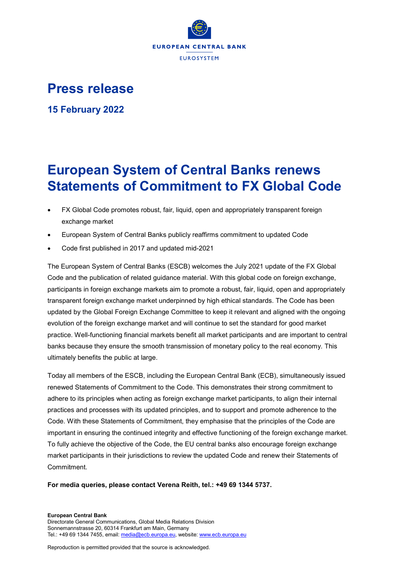

## **Press release**

**15 February 2022**

## **European System of Central Banks renews Statements of Commitment to FX Global Code**

- FX Global Code promotes robust, fair, liquid, open and appropriately transparent foreign exchange market
- European System of Central Banks publicly reaffirms commitment to updated Code
- Code first published in 2017 and updated mid-2021

The European System of Central Banks (ESCB) welcomes the July 2021 update of the FX Global Code and the publication of related guidance material. With this global code on foreign exchange, participants in foreign exchange markets aim to promote a robust, fair, liquid, open and appropriately transparent foreign exchange market underpinned by high ethical standards. The Code has been updated by the Global Foreign Exchange Committee to keep it relevant and aligned with the ongoing evolution of the foreign exchange market and will continue to set the standard for good market practice. Well-functioning financial markets benefit all market participants and are important to central banks because they ensure the smooth transmission of monetary policy to the real economy. This ultimately benefits the public at large.

Today all members of the ESCB, including the European Central Bank (ECB), simultaneously issued renewed Statements of Commitment to the Code. This demonstrates their strong commitment to adhere to its principles when acting as foreign exchange market participants, to align their internal practices and processes with its updated principles, and to support and promote adherence to the Code. With these Statements of Commitment, they emphasise that the principles of the Code are important in ensuring the continued integrity and effective functioning of the foreign exchange market. To fully achieve the objective of the Code, the EU central banks also encourage foreign exchange market participants in their jurisdictions to review the updated Code and renew their Statements of Commitment.

**For media queries, please contact [Verena Reith,](mailto:Verena.Reith@ecb.europa.eu) tel.: +49 69 1344 5737.**

**European Central Bank** Directorate General Communications, Global Media Relations Division Sonnemannstrasse 20, 60314 Frankfurt am Main, Germany Tel.: +49 69 1344 7455, email[: media@ecb.europa.eu,](mailto:media@ecb.europa.eu) website[: www.ecb.europa.eu](http://www.ecb.europa.eu/)